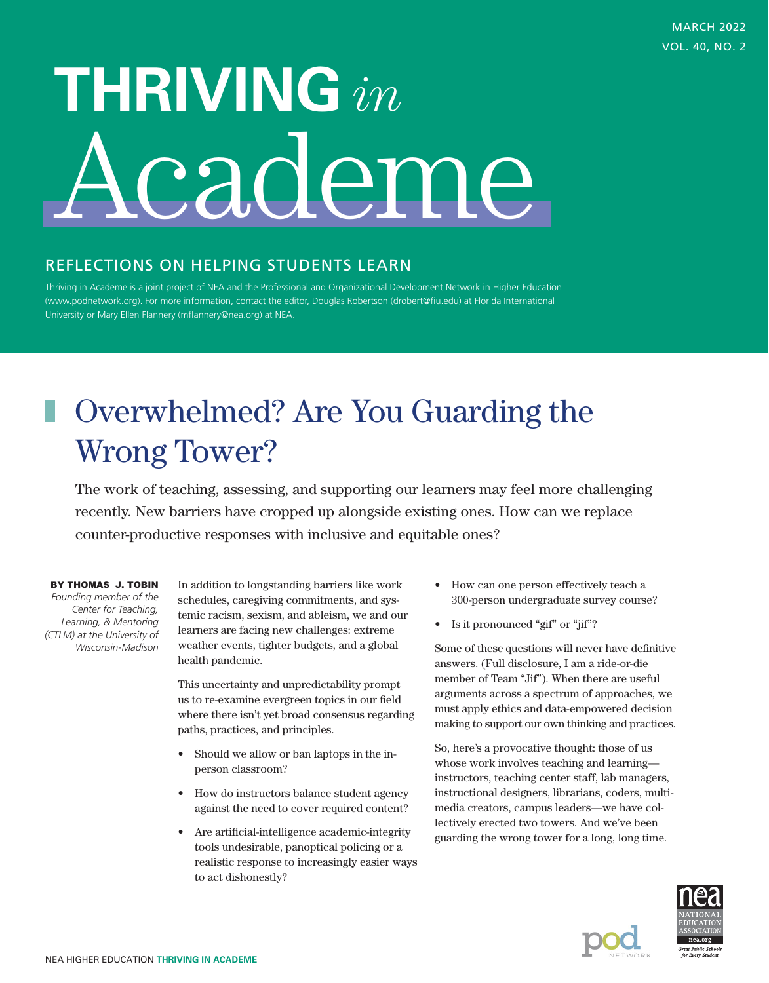# **THRIVING** *in* cademe

## REFLECTIONS ON HELPING STUDENTS LEARN

Thriving in Academe is a joint project of NEA and the Professional and Organizational Development Network in Higher Education (www.podnetwork.org). For more information, contact the editor, Douglas Robertson (drobert@fiu.edu) at Florida International University or Mary Ellen Flannery (mflannery@nea.org) at NEA.

# Overwhelmed? Are You Guarding the Wrong Tower?

The work of teaching, assessing, and supporting our learners may feel more challenging recently. New barriers have cropped up alongside existing ones. How can we replace counter-productive responses with inclusive and equitable ones?

#### BY THOMAS J. TOBIN

*Founding member of the Center for Teaching, Learning, & Mentoring (CTLM) at the University of Wisconsin-Madison*

In addition to longstanding barriers like work schedules, caregiving commitments, and systemic racism, sexism, and ableism, we and our learners are facing new challenges: extreme weather events, tighter budgets, and a global health pandemic.

This uncertainty and unpredictability prompt us to re-examine evergreen topics in our field where there isn't yet broad consensus regarding paths, practices, and principles.

- Should we allow or ban laptops in the inperson classroom?
- How do instructors balance student agency against the need to cover required content?
- Are artificial-intelligence academic-integrity tools undesirable, panoptical policing or a realistic response to increasingly easier ways to act dishonestly?
- How can one person effectively teach a 300-person undergraduate survey course?
- Is it pronounced "gif" or "jif"?

Some of these questions will never have definitive answers. (Full disclosure, I am a ride-or-die member of Team "Jif"). When there are useful arguments across a spectrum of approaches, we must apply ethics and data-empowered decision making to support our own thinking and practices.

So, here's a provocative thought: those of us whose work involves teaching and learning instructors, teaching center staff, lab managers, instructional designers, librarians, coders, multimedia creators, campus leaders—we have collectively erected two towers. And we've been guarding the wrong tower for a long, long time.

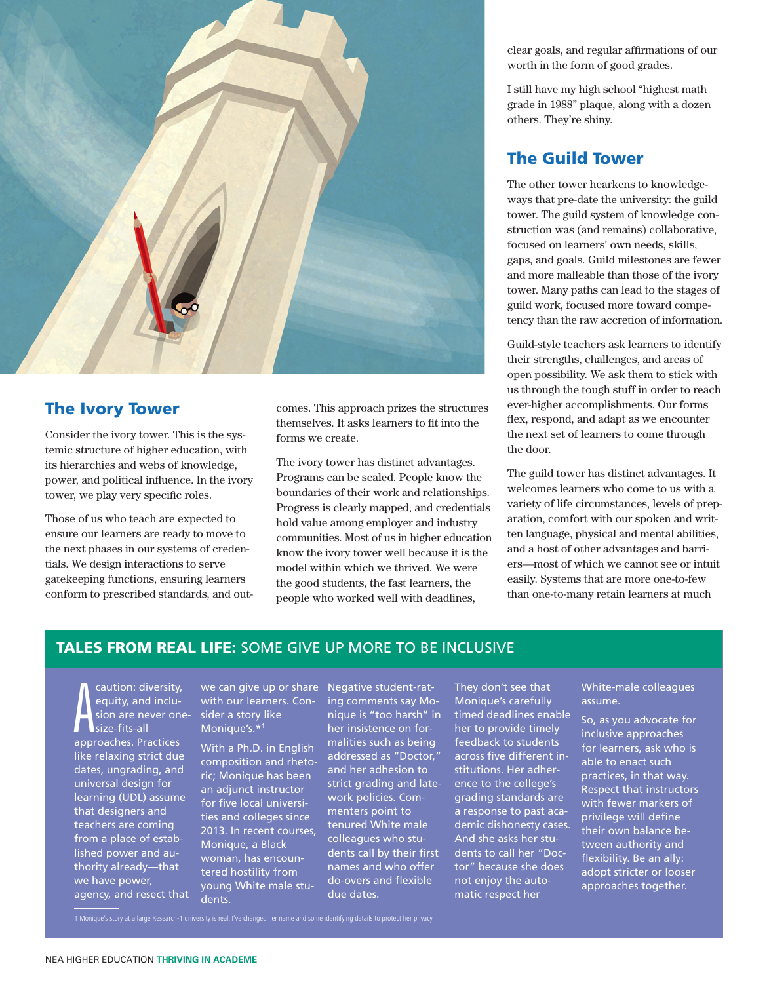

#### The Ivory Tower

Consider the ivory tower. This is the systemic structure of higher education, with its hierarchies and webs of knowledge, power, and political influence. In the ivory tower, we play very specific roles.

Those of us who teach are expected to ensure our learners are ready to move to the next phases in our systems of credentials. We design interactions to serve gatekeeping functions, ensuring learners conform to prescribed standards, and outcomes. This approach prizes the structures themselves. It asks learners to fit into the forms we create.

The ivory tower has distinct advantages. Programs can be scaled. People know the boundaries of their work and relationships. Progress is clearly mapped, and credentials hold value among employer and industry communities. Most of us in higher education know the ivory tower well because it is the model within which we thrived. We were the good students, the fast learners, the people who worked well with deadlines,

clear goals, and regular affirmations of our worth in the form of good grades.

I still have my high school "highest math grade in 1988" plaque, along with a dozen others. They're shiny.

### The Guild Tower

The other tower hearkens to knowledgeways that pre-date the university: the guild tower. The guild system of knowledge construction was (and remains) collaborative, focused on learners' own needs, skills, gaps, and goals. Guild milestones are fewer and more malleable than those of the ivory tower. Many paths can lead to the stages of guild work, focused more toward competency than the raw accretion of information.

Guild-style teachers ask learners to identify their strengths, challenges, and areas of open possibility. We ask them to stick with us through the tough stuff in order to reach ever-higher accomplishments. Our forms flex, respond, and adapt as we encounter the next set of learners to come through the door.

The guild tower has distinct advantages. It welcomes learners who come to us with a variety of life circumstances, levels of preparation, comfort with our spoken and written language, physical and mental abilities, and a host of other advantages and barriers—most of which we cannot see or intuit easily. Systems that are more one-to-few than one-to-many retain learners at much

#### TALES FROM REAL LIFE: SOME GIVE UP MORE TO BE INCLUSIVE

A caution: diversity, equity, and inclusion are never onesize-fits-all approaches. Practices like relaxing strict due dates, ungrading, and universal design for learning (UDL) assume that designers and teachers are coming from a place of established power and authority already—that we have power, agency, and resect that

we can give up or share with our learners. Consider a story like Monique's.\*1

With a Ph.D. in English composition and rhetoric; Monique has been an adjunct instructor for five local universities and colleges since 2013. In recent courses, Monique, a Black woman, has encountered hostility from young White male students.

Negative student-rating comments say Monique is "too harsh" in her insistence on formalities such as being addressed as "Doctor," and her adhesion to strict grading and latework policies. Commenters point to tenured White male colleagues who students call by their first names and who offer do-overs and flexible due dates.

They don't see that Monique's carefully timed deadlines enable her to provide timely feedback to students across five different institutions. Her adherence to the college's grading standards are a response to past academic dishonesty cases. And she asks her students to call her "Doctor" because she does not enjoy the automatic respect her

White-male colleagues assume.

So, as you advocate for inclusive approaches for learners, ask who is able to enact such practices, in that way. Respect that instructors with fewer markers of privilege will define their own balance between authority and flexibility. Be an ally: adopt stricter or looser approaches together.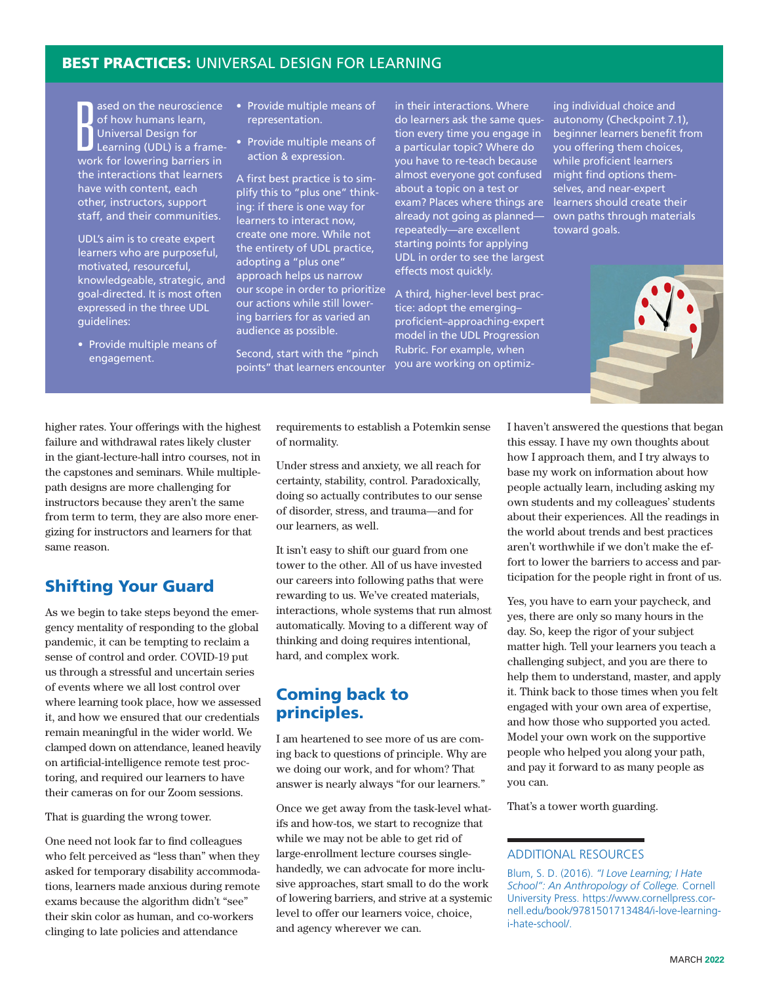#### **BEST PRACTICES: UNIVERSAL DESIGN FOR LEARNING**

B ased on the neuroscience of how humans learn, Universal Design for Learning (UDL) is a framework for lowering barriers in the interactions that learners have with content, each other, instructors, support staff, and their communities.

UDL's aim is to create expert learners who are purposeful, motivated, resourceful, knowledgeable, strategic, and goal-directed. It is most often expressed in the three UDL guidelines:

• Provide multiple means of engagement.

- Provide multiple means of representation.
- Provide multiple means of action & expression.

A first best practice is to simplify this to "plus one" thinking: if there is one way for learners to interact now, create one more. While not the entirety of UDL practice, adopting a "plus one" approach helps us narrow our scope in order to prioritize our actions while still lowering barriers for as varied an audience as possible.

Second, start with the "pinch points" that learners encounter in their interactions. Where do learners ask the same question every time you engage in a particular topic? Where do you have to re-teach because almost everyone got confused about a topic on a test or exam? Places where things are already not going as planned repeatedly—are excellent starting points for applying UDL in order to see the largest effects most quickly.

A third, higher-level best practice: adopt the emerging– proficient–approaching-expert model in the UDL Progression Rubric. For example, when you are working on optimizing individual choice and autonomy (Checkpoint 7.1), beginner learners benefit from you offering them choices, while proficient learners might find options themselves, and near-expert learners should create their own paths through materials toward goals.



higher rates. Your offerings with the highest failure and withdrawal rates likely cluster in the giant-lecture-hall intro courses, not in the capstones and seminars. While multiplepath designs are more challenging for instructors because they aren't the same from term to term, they are also more energizing for instructors and learners for that same reason.

#### Shifting Your Guard

As we begin to take steps beyond the emergency mentality of responding to the global pandemic, it can be tempting to reclaim a sense of control and order. COVID-19 put us through a stressful and uncertain series of events where we all lost control over where learning took place, how we assessed it, and how we ensured that our credentials remain meaningful in the wider world. We clamped down on attendance, leaned heavily on artificial-intelligence remote test proctoring, and required our learners to have their cameras on for our Zoom sessions.

That is guarding the wrong tower.

One need not look far to find colleagues who felt perceived as "less than" when they asked for temporary disability accommodations, learners made anxious during remote exams because the algorithm didn't "see" their skin color as human, and co-workers clinging to late policies and attendance

requirements to establish a Potemkin sense of normality.

Under stress and anxiety, we all reach for certainty, stability, control. Paradoxically, doing so actually contributes to our sense of disorder, stress, and trauma—and for our learners, as well.

It isn't easy to shift our guard from one tower to the other. All of us have invested our careers into following paths that were rewarding to us. We've created materials, interactions, whole systems that run almost automatically. Moving to a different way of thinking and doing requires intentional, hard, and complex work.

#### Coming back to principles.

I am heartened to see more of us are coming back to questions of principle. Why are we doing our work, and for whom? That answer is nearly always "for our learners."

Once we get away from the task-level whatifs and how-tos, we start to recognize that while we may not be able to get rid of large-enrollment lecture courses singlehandedly, we can advocate for more inclusive approaches, start small to do the work of lowering barriers, and strive at a systemic level to offer our learners voice, choice, and agency wherever we can.

I haven't answered the questions that began this essay. I have my own thoughts about how I approach them, and I try always to base my work on information about how people actually learn, including asking my own students and my colleagues' students about their experiences. All the readings in the world about trends and best practices aren't worthwhile if we don't make the effort to lower the barriers to access and participation for the people right in front of us.

Yes, you have to earn your paycheck, and yes, there are only so many hours in the day. So, keep the rigor of your subject matter high. Tell your learners you teach a challenging subject, and you are there to help them to understand, master, and apply it. Think back to those times when you felt engaged with your own area of expertise, and how those who supported you acted. Model your own work on the supportive people who helped you along your path, and pay it forward to as many people as you can.

That's a tower worth guarding.

#### ADDITIONAL RESOURCES

Blum, S. D. (2016). *"I Love Learning; I Hate School": An Anthropology of College.* Cornell University Press. https://www.cornellpress.cornell.edu/book/9781501713484/i-love-learningi-hate-school/.